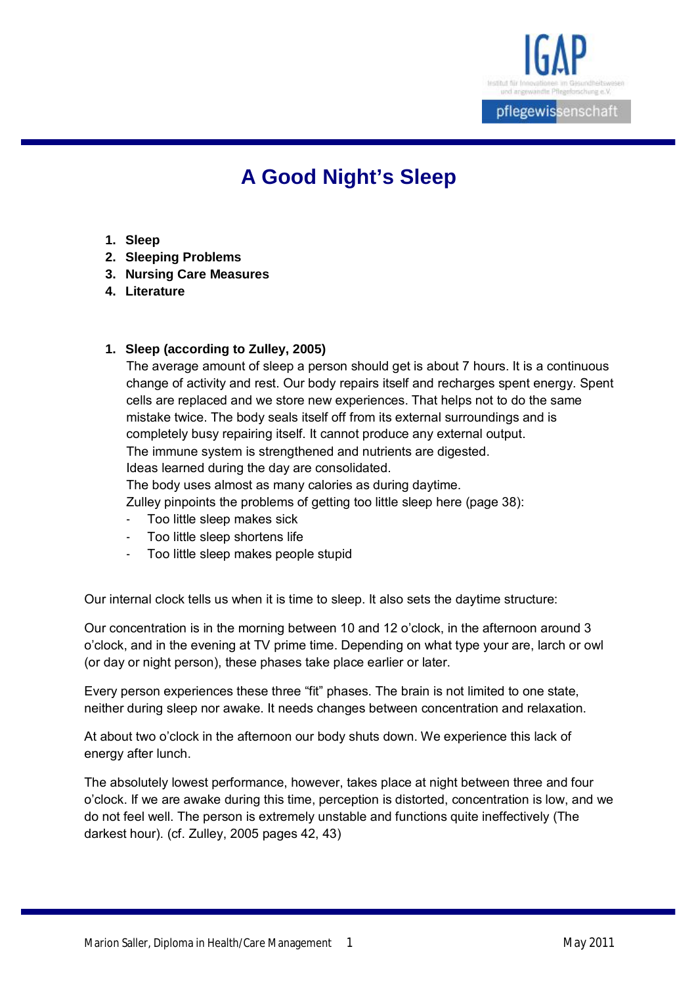

# **A Good Night's Sleep**

- **1. Sleep**
- **2. Sleeping Problems**
- **3. Nursing Care Measures**
- **4. Literature**

# **1. Sleep (according to Zulley, 2005)**

The average amount of sleep a person should get is about 7 hours. It is a continuous change of activity and rest. Our body repairs itself and recharges spent energy. Spent cells are replaced and we store new experiences. That helps not to do the same mistake twice. The body seals itself off from its external surroundings and is completely busy repairing itself. It cannot produce any external output. The immune system is strengthened and nutrients are digested. Ideas learned during the day are consolidated. The body uses almost as many calories as during daytime.

Zulley pinpoints the problems of getting too little sleep here (page 38):

- Too little sleep makes sick
- Too little sleep shortens life
- Too little sleep makes people stupid

Our internal clock tells us when it is time to sleep. It also sets the daytime structure:

Our concentration is in the morning between 10 and 12 o'clock, in the afternoon around 3 o'clock, and in the evening at TV prime time. Depending on what type your are, larch or owl (or day or night person), these phases take place earlier or later.

Every person experiences these three "fit" phases. The brain is not limited to one state, neither during sleep nor awake. It needs changes between concentration and relaxation.

At about two o'clock in the afternoon our body shuts down. We experience this lack of energy after lunch.

The absolutely lowest performance, however, takes place at night between three and four o'clock. If we are awake during this time, perception is distorted, concentration is low, and we do not feel well. The person is extremely unstable and functions quite ineffectively (The darkest hour). (cf. Zulley, 2005 pages 42, 43)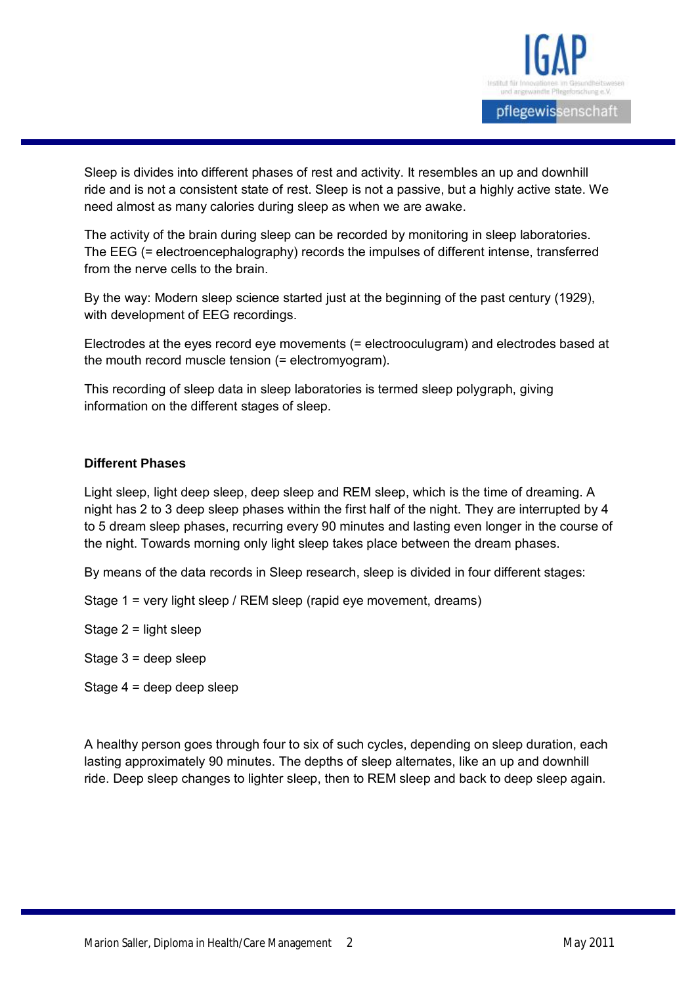

Sleep is divides into different phases of rest and activity. It resembles an up and downhill ride and is not a consistent state of rest. Sleep is not a passive, but a highly active state. We need almost as many calories during sleep as when we are awake.

The activity of the brain during sleep can be recorded by monitoring in sleep laboratories. The EEG (= electroencephalography) records the impulses of different intense, transferred from the nerve cells to the brain.

By the way: Modern sleep science started just at the beginning of the past century (1929), with development of EEG recordings.

Electrodes at the eyes record eye movements (= electrooculugram) and electrodes based at the mouth record muscle tension (= electromyogram).

This recording of sleep data in sleep laboratories is termed sleep polygraph, giving information on the different stages of sleep.

#### **Different Phases**

Light sleep, light deep sleep, deep sleep and REM sleep, which is the time of dreaming. A night has 2 to 3 deep sleep phases within the first half of the night. They are interrupted by 4 to 5 dream sleep phases, recurring every 90 minutes and lasting even longer in the course of the night. Towards morning only light sleep takes place between the dream phases.

By means of the data records in Sleep research, sleep is divided in four different stages:

Stage 1 = very light sleep / REM sleep (rapid eye movement, dreams)

Stage 2 = light sleep

Stage 3 = deep sleep

Stage 4 = deep deep sleep

A healthy person goes through four to six of such cycles, depending on sleep duration, each lasting approximately 90 minutes. The depths of sleep alternates, like an up and downhill ride. Deep sleep changes to lighter sleep, then to REM sleep and back to deep sleep again.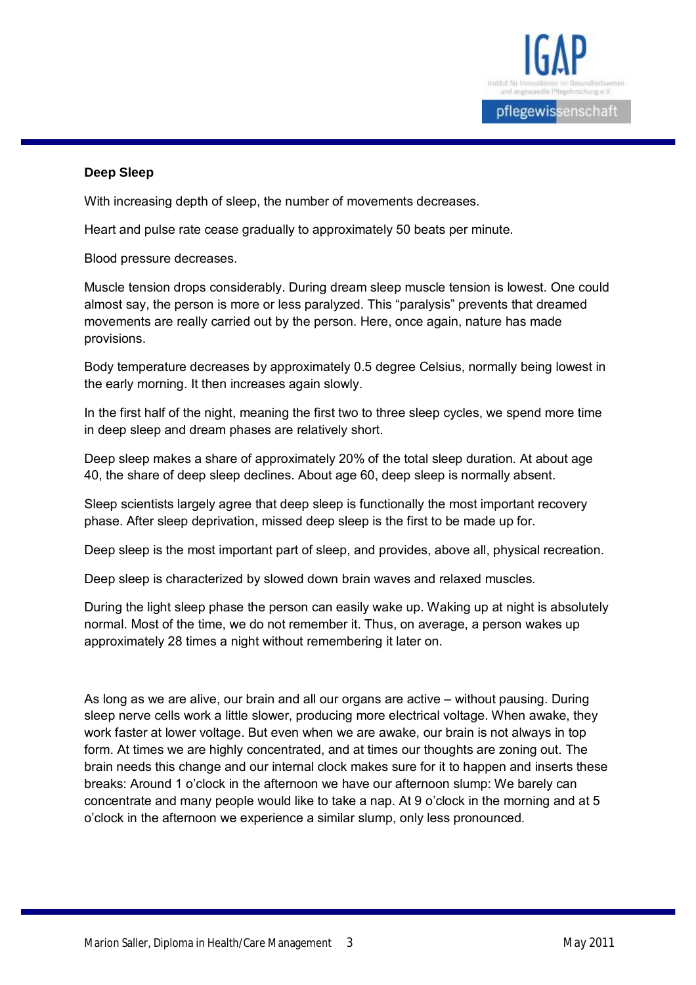

#### **Deep Sleep**

With increasing depth of sleep, the number of movements decreases.

Heart and pulse rate cease gradually to approximately 50 beats per minute.

Blood pressure decreases.

Muscle tension drops considerably. During dream sleep muscle tension is lowest. One could almost say, the person is more or less paralyzed. This "paralysis" prevents that dreamed movements are really carried out by the person. Here, once again, nature has made provisions.

Body temperature decreases by approximately 0.5 degree Celsius, normally being lowest in the early morning. It then increases again slowly.

In the first half of the night, meaning the first two to three sleep cycles, we spend more time in deep sleep and dream phases are relatively short.

Deep sleep makes a share of approximately 20% of the total sleep duration. At about age 40, the share of deep sleep declines. About age 60, deep sleep is normally absent.

Sleep scientists largely agree that deep sleep is functionally the most important recovery phase. After sleep deprivation, missed deep sleep is the first to be made up for.

Deep sleep is the most important part of sleep, and provides, above all, physical recreation.

Deep sleep is characterized by slowed down brain waves and relaxed muscles.

During the light sleep phase the person can easily wake up. Waking up at night is absolutely normal. Most of the time, we do not remember it. Thus, on average, a person wakes up approximately 28 times a night without remembering it later on.

As long as we are alive, our brain and all our organs are active – without pausing. During sleep nerve cells work a little slower, producing more electrical voltage. When awake, they work faster at lower voltage. But even when we are awake, our brain is not always in top form. At times we are highly concentrated, and at times our thoughts are zoning out. The brain needs this change and our internal clock makes sure for it to happen and inserts these breaks: Around 1 o'clock in the afternoon we have our afternoon slump: We barely can concentrate and many people would like to take a nap. At 9 o'clock in the morning and at 5 o'clock in the afternoon we experience a similar slump, only less pronounced.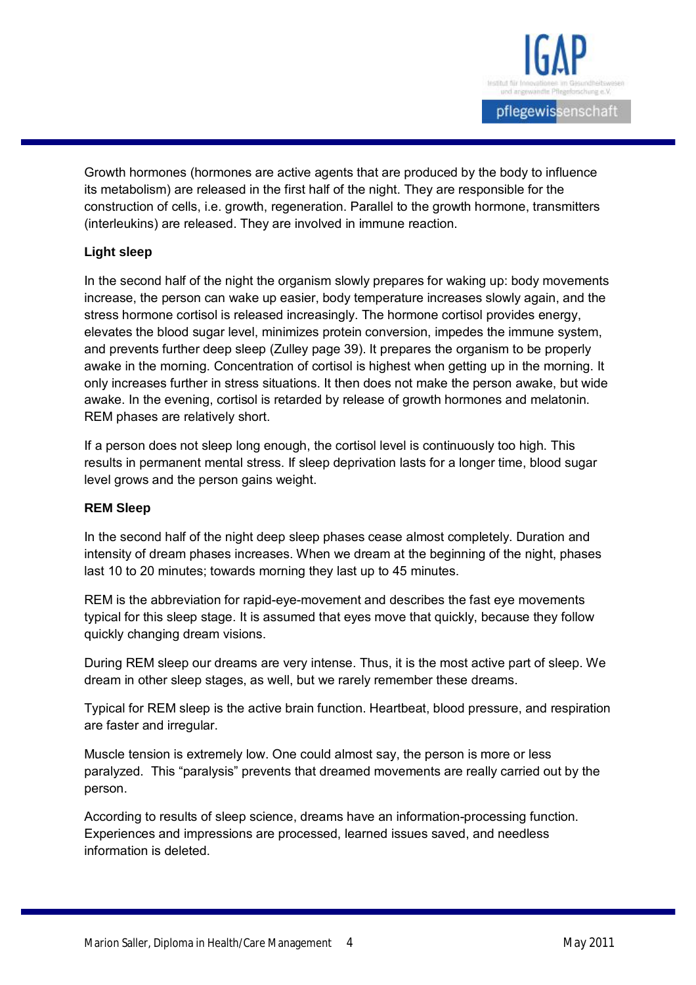

Growth hormones (hormones are active agents that are produced by the body to influence its metabolism) are released in the first half of the night. They are responsible for the construction of cells, i.e. growth, regeneration. Parallel to the growth hormone, transmitters (interleukins) are released. They are involved in immune reaction.

# **Light sleep**

In the second half of the night the organism slowly prepares for waking up: body movements increase, the person can wake up easier, body temperature increases slowly again, and the stress hormone cortisol is released increasingly. The hormone cortisol provides energy, elevates the blood sugar level, minimizes protein conversion, impedes the immune system, and prevents further deep sleep (Zulley page 39). It prepares the organism to be properly awake in the morning. Concentration of cortisol is highest when getting up in the morning. It only increases further in stress situations. It then does not make the person awake, but wide awake. In the evening, cortisol is retarded by release of growth hormones and melatonin. REM phases are relatively short.

If a person does not sleep long enough, the cortisol level is continuously too high. This results in permanent mental stress. If sleep deprivation lasts for a longer time, blood sugar level grows and the person gains weight.

#### **REM Sleep**

In the second half of the night deep sleep phases cease almost completely. Duration and intensity of dream phases increases. When we dream at the beginning of the night, phases last 10 to 20 minutes; towards morning they last up to 45 minutes.

REM is the abbreviation for rapid-eye-movement and describes the fast eye movements typical for this sleep stage. It is assumed that eyes move that quickly, because they follow quickly changing dream visions.

During REM sleep our dreams are very intense. Thus, it is the most active part of sleep. We dream in other sleep stages, as well, but we rarely remember these dreams.

Typical for REM sleep is the active brain function. Heartbeat, blood pressure, and respiration are faster and irregular.

Muscle tension is extremely low. One could almost say, the person is more or less paralyzed. This "paralysis" prevents that dreamed movements are really carried out by the person.

According to results of sleep science, dreams have an information-processing function. Experiences and impressions are processed, learned issues saved, and needless information is deleted.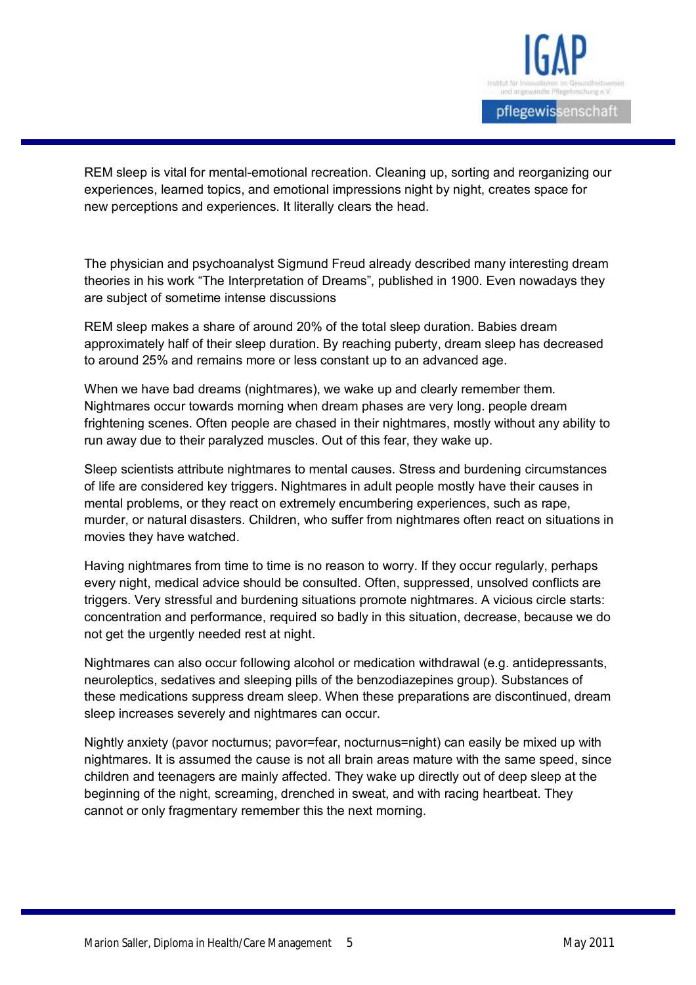

REM sleep is vital for mental-emotional recreation. Cleaning up, sorting and reorganizing our experiences, learned topics, and emotional impressions night by night, creates space for new perceptions and experiences. It literally clears the head.

The physician and psychoanalyst Sigmund Freud already described many interesting dream theories in his work "The Interpretation of Dreams", published in 1900. Even nowadays they are subject of sometime intense discussions

REM sleep makes a share of around 20% of the total sleep duration. Babies dream approximately half of their sleep duration. By reaching puberty, dream sleep has decreased to around 25% and remains more or less constant up to an advanced age.

When we have bad dreams (nightmares), we wake up and clearly remember them. Nightmares occur towards morning when dream phases are very long. people dream frightening scenes. Often people are chased in their nightmares, mostly without any ability to run away due to their paralyzed muscles. Out of this fear, they wake up.

Sleep scientists attribute nightmares to mental causes. Stress and burdening circumstances of life are considered key triggers. Nightmares in adult people mostly have their causes in mental problems, or they react on extremely encumbering experiences, such as rape, murder, or natural disasters. Children, who suffer from nightmares often react on situations in movies they have watched.

Having nightmares from time to time is no reason to worry. If they occur regularly, perhaps every night, medical advice should be consulted. Often, suppressed, unsolved conflicts are triggers. Very stressful and burdening situations promote nightmares. A vicious circle starts: concentration and performance, required so badly in this situation, decrease, because we do not get the urgently needed rest at night.

Nightmares can also occur following alcohol or medication withdrawal (e.g. antidepressants, neuroleptics, sedatives and sleeping pills of the benzodiazepines group). Substances of these medications suppress dream sleep. When these preparations are discontinued, dream sleep increases severely and nightmares can occur.

Nightly anxiety (pavor nocturnus; pavor=fear, nocturnus=night) can easily be mixed up with nightmares. It is assumed the cause is not all brain areas mature with the same speed, since children and teenagers are mainly affected. They wake up directly out of deep sleep at the beginning of the night, screaming, drenched in sweat, and with racing heartbeat. They cannot or only fragmentary remember this the next morning.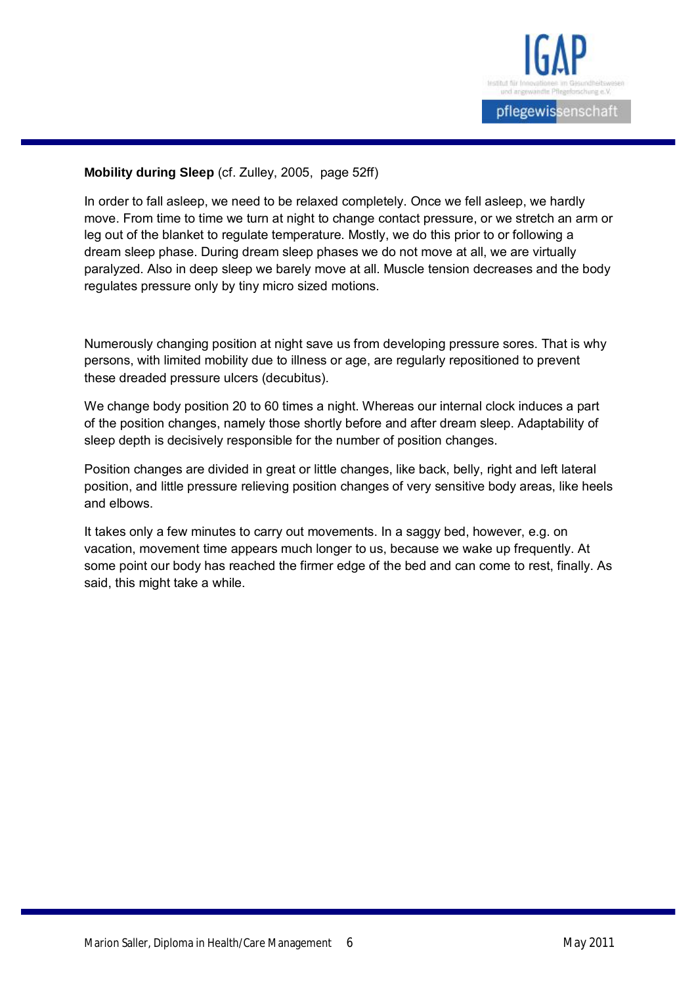

# **Mobility during Sleep** (cf. Zulley, 2005, page 52ff)

In order to fall asleep, we need to be relaxed completely. Once we fell asleep, we hardly move. From time to time we turn at night to change contact pressure, or we stretch an arm or leg out of the blanket to regulate temperature. Mostly, we do this prior to or following a dream sleep phase. During dream sleep phases we do not move at all, we are virtually paralyzed. Also in deep sleep we barely move at all. Muscle tension decreases and the body regulates pressure only by tiny micro sized motions.

Numerously changing position at night save us from developing pressure sores. That is why persons, with limited mobility due to illness or age, are regularly repositioned to prevent these dreaded pressure ulcers (decubitus).

We change body position 20 to 60 times a night. Whereas our internal clock induces a part of the position changes, namely those shortly before and after dream sleep. Adaptability of sleep depth is decisively responsible for the number of position changes.

Position changes are divided in great or little changes, like back, belly, right and left lateral position, and little pressure relieving position changes of very sensitive body areas, like heels and elbows.

It takes only a few minutes to carry out movements. In a saggy bed, however, e.g. on vacation, movement time appears much longer to us, because we wake up frequently. At some point our body has reached the firmer edge of the bed and can come to rest, finally. As said, this might take a while.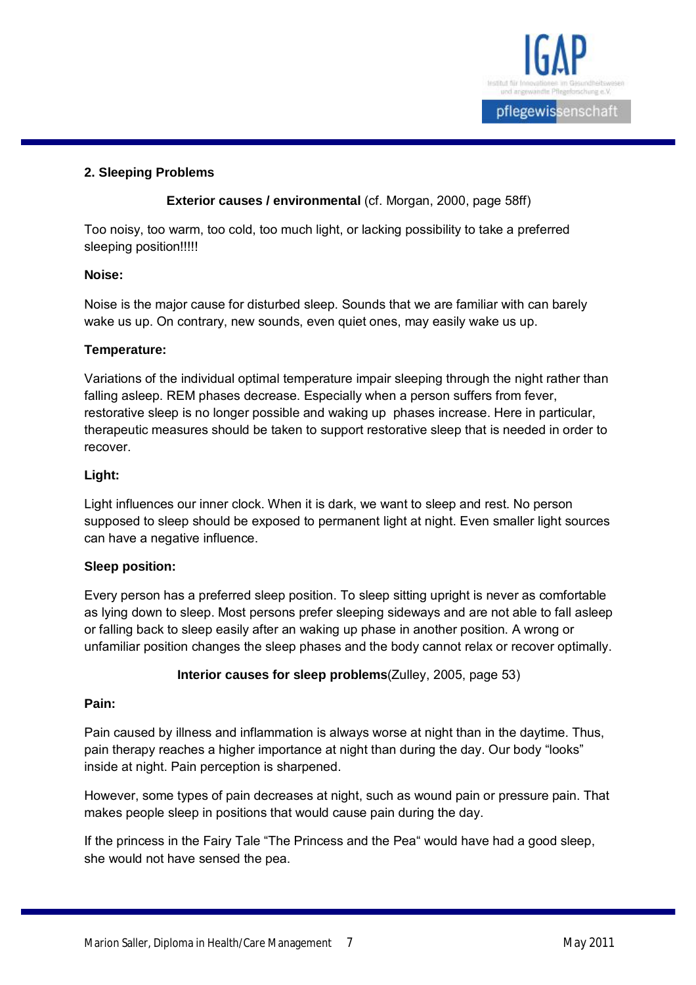

#### **2. Sleeping Problems**

# **Exterior causes / environmental** (cf. Morgan, 2000, page 58ff)

Too noisy, too warm, too cold, too much light, or lacking possibility to take a preferred sleeping position!!!!!

#### **Noise:**

Noise is the major cause for disturbed sleep. Sounds that we are familiar with can barely wake us up. On contrary, new sounds, even quiet ones, may easily wake us up.

#### **Temperature:**

Variations of the individual optimal temperature impair sleeping through the night rather than falling asleep. REM phases decrease. Especially when a person suffers from fever, restorative sleep is no longer possible and waking up phases increase. Here in particular, therapeutic measures should be taken to support restorative sleep that is needed in order to recover.

# **Light:**

Light influences our inner clock. When it is dark, we want to sleep and rest. No person supposed to sleep should be exposed to permanent light at night. Even smaller light sources can have a negative influence.

#### **Sleep position:**

Every person has a preferred sleep position. To sleep sitting upright is never as comfortable as lying down to sleep. Most persons prefer sleeping sideways and are not able to fall asleep or falling back to sleep easily after an waking up phase in another position. A wrong or unfamiliar position changes the sleep phases and the body cannot relax or recover optimally.

#### **Interior causes for sleep problems**(Zulley, 2005, page 53)

#### **Pain:**

Pain caused by illness and inflammation is always worse at night than in the daytime. Thus, pain therapy reaches a higher importance at night than during the day. Our body "looks" inside at night. Pain perception is sharpened.

However, some types of pain decreases at night, such as wound pain or pressure pain. That makes people sleep in positions that would cause pain during the day.

If the princess in the Fairy Tale "The Princess and the Pea" would have had a good sleep, she would not have sensed the pea.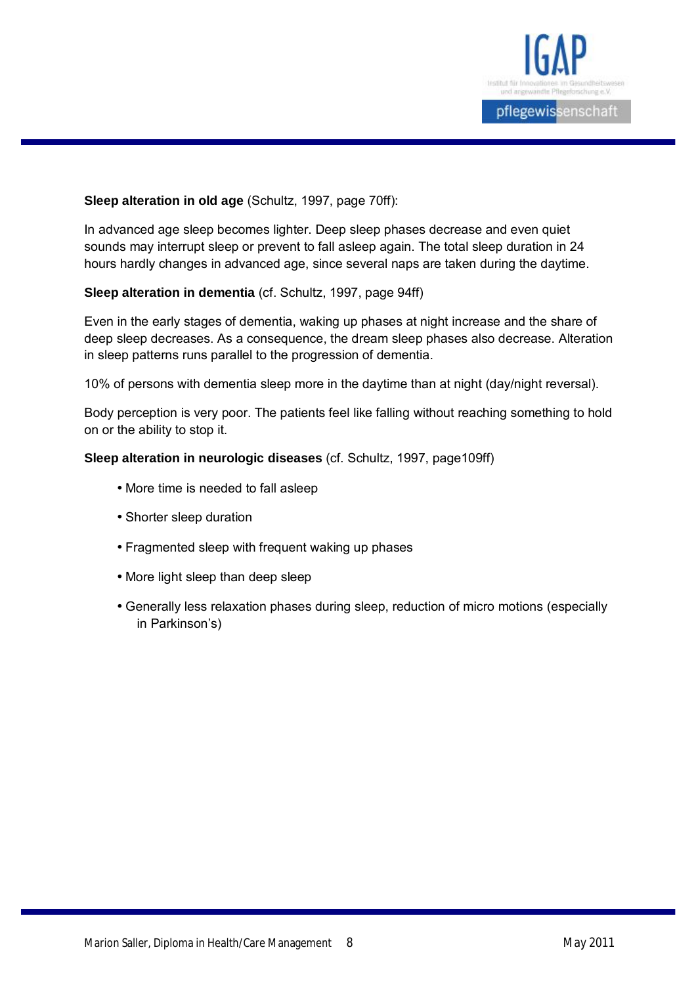

#### **Sleep alteration in old age** (Schultz, 1997, page 70ff):

In advanced age sleep becomes lighter. Deep sleep phases decrease and even quiet sounds may interrupt sleep or prevent to fall asleep again. The total sleep duration in 24 hours hardly changes in advanced age, since several naps are taken during the daytime.

#### **Sleep alteration in dementia** (cf. Schultz, 1997, page 94ff)

Even in the early stages of dementia, waking up phases at night increase and the share of deep sleep decreases. As a consequence, the dream sleep phases also decrease. Alteration in sleep patterns runs parallel to the progression of dementia.

10% of persons with dementia sleep more in the daytime than at night (day/night reversal).

Body perception is very poor. The patients feel like falling without reaching something to hold on or the ability to stop it.

#### **Sleep alteration in neurologic diseases** (cf. Schultz, 1997, page109ff)

- More time is needed to fall asleep
- Shorter sleep duration
- Fragmented sleep with frequent waking up phases
- More light sleep than deep sleep
- Generally less relaxation phases during sleep, reduction of micro motions (especially in Parkinson's)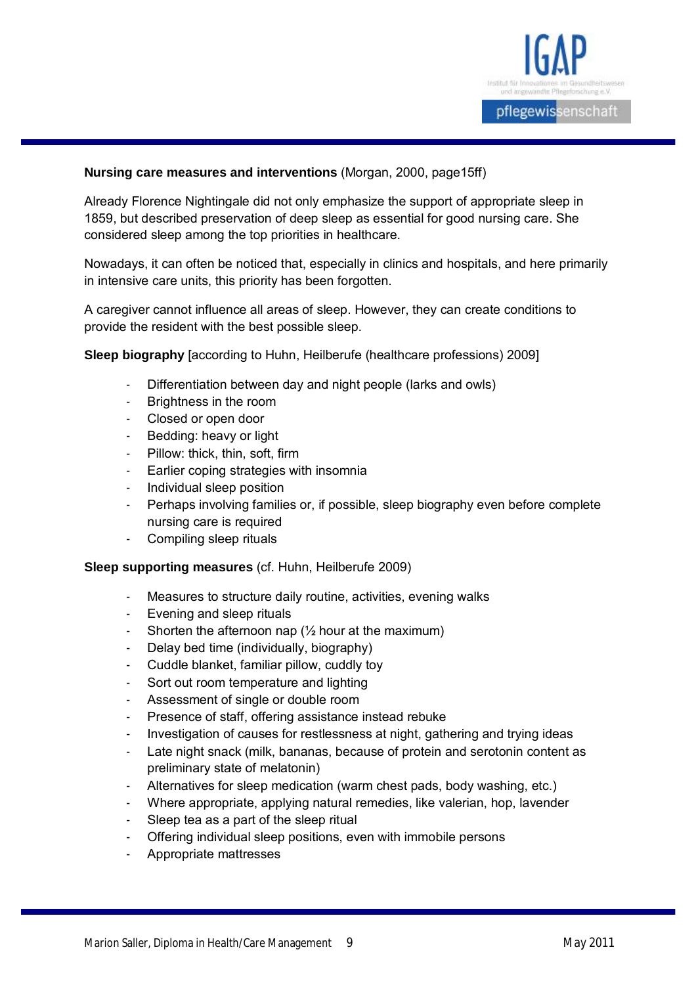

#### **Nursing care measures and interventions** (Morgan, 2000, page15ff)

Already Florence Nightingale did not only emphasize the support of appropriate sleep in 1859, but described preservation of deep sleep as essential for good nursing care. She considered sleep among the top priorities in healthcare.

Nowadays, it can often be noticed that, especially in clinics and hospitals, and here primarily in intensive care units, this priority has been forgotten.

A caregiver cannot influence all areas of sleep. However, they can create conditions to provide the resident with the best possible sleep.

**Sleep biography** [according to Huhn, Heilberufe (healthcare professions) 2009]

- Differentiation between day and night people (larks and owls)
- Brightness in the room
- Closed or open door
- Bedding: heavy or light
- Pillow: thick, thin, soft, firm
- Earlier coping strategies with insomnia
- Individual sleep position
- Perhaps involving families or, if possible, sleep biography even before complete nursing care is required
- Compiling sleep rituals

#### **Sleep supporting measures** (cf. Huhn, Heilberufe 2009)

- Measures to structure daily routine, activities, evening walks
- Evening and sleep rituals
- Shorten the afternoon nap  $(\frac{1}{2})$  hour at the maximum)
- Delay bed time (individually, biography)
- Cuddle blanket, familiar pillow, cuddly toy
- Sort out room temperature and lighting
- Assessment of single or double room
- Presence of staff, offering assistance instead rebuke
- Investigation of causes for restlessness at night, gathering and trying ideas
- Late night snack (milk, bananas, because of protein and serotonin content as preliminary state of melatonin)
- Alternatives for sleep medication (warm chest pads, body washing, etc.)
- Where appropriate, applying natural remedies, like valerian, hop, lavender
- Sleep tea as a part of the sleep ritual
- Offering individual sleep positions, even with immobile persons
- Appropriate mattresses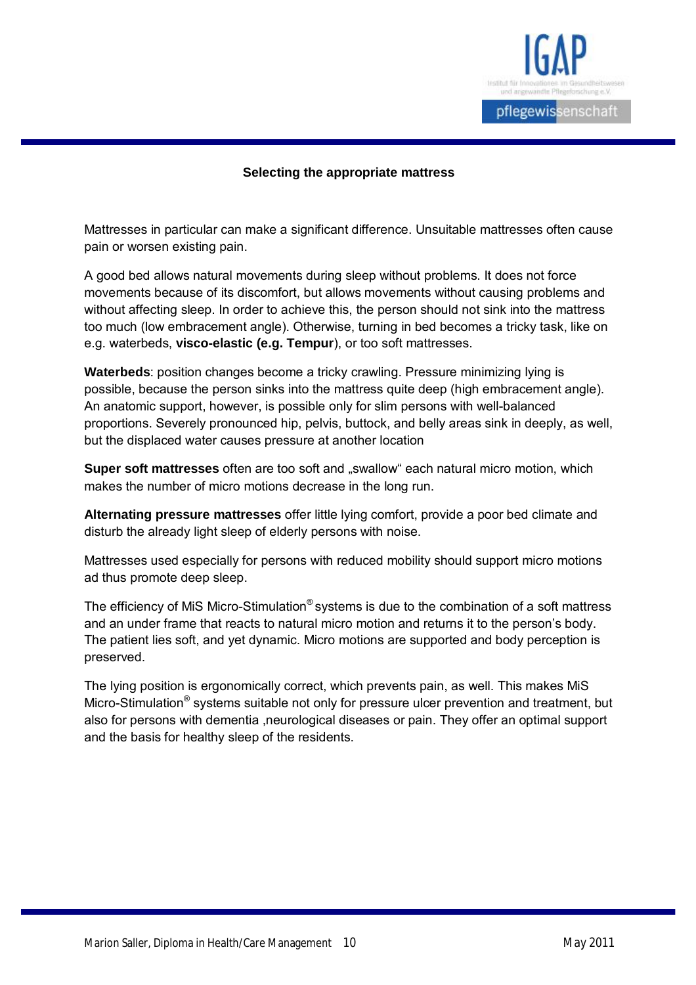

#### **Selecting the appropriate mattress**

Mattresses in particular can make a significant difference. Unsuitable mattresses often cause pain or worsen existing pain.

A good bed allows natural movements during sleep without problems. It does not force movements because of its discomfort, but allows movements without causing problems and without affecting sleep. In order to achieve this, the person should not sink into the mattress too much (low embracement angle). Otherwise, turning in bed becomes a tricky task, like on e.g. waterbeds, **visco-elastic (e.g. Tempur**), or too soft mattresses.

**Waterbeds**: position changes become a tricky crawling. Pressure minimizing lying is possible, because the person sinks into the mattress quite deep (high embracement angle). An anatomic support, however, is possible only for slim persons with well-balanced proportions. Severely pronounced hip, pelvis, buttock, and belly areas sink in deeply, as well, but the displaced water causes pressure at another location

**Super soft mattresses** often are too soft and "swallow" each natural micro motion, which makes the number of micro motions decrease in the long run.

**Alternating pressure mattresses** offer little lying comfort, provide a poor bed climate and disturb the already light sleep of elderly persons with noise.

Mattresses used especially for persons with reduced mobility should support micro motions ad thus promote deep sleep.

The efficiency of MiS Micro-Stimulation<sup>®</sup> systems is due to the combination of a soft mattress and an under frame that reacts to natural micro motion and returns it to the person's body. The patient lies soft, and yet dynamic. Micro motions are supported and body perception is preserved.

The lying position is ergonomically correct, which prevents pain, as well. This makes MiS Micro-Stimulation<sup>®</sup> systems suitable not only for pressure ulcer prevention and treatment, but also for persons with dementia ,neurological diseases or pain. They offer an optimal support and the basis for healthy sleep of the residents.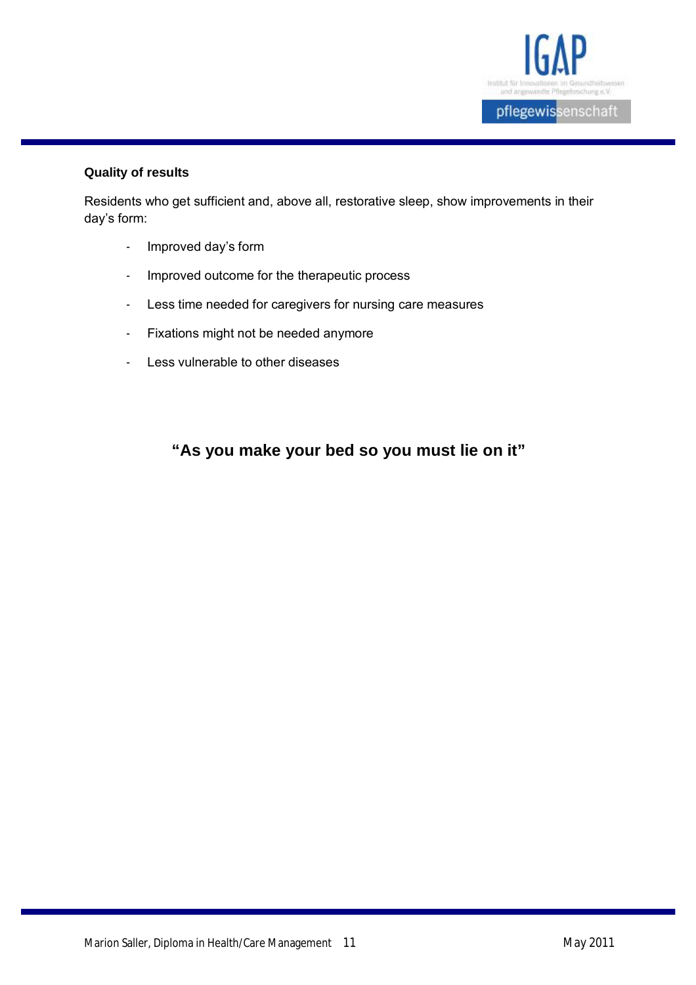

# **Quality of results**

Residents who get sufficient and, above all, restorative sleep, show improvements in their day's form:

- Improved day's form
- Improved outcome for the therapeutic process
- Less time needed for caregivers for nursing care measures
- Fixations might not be needed anymore
- Less vulnerable to other diseases

# **"As you make your bed so you must lie on it"**